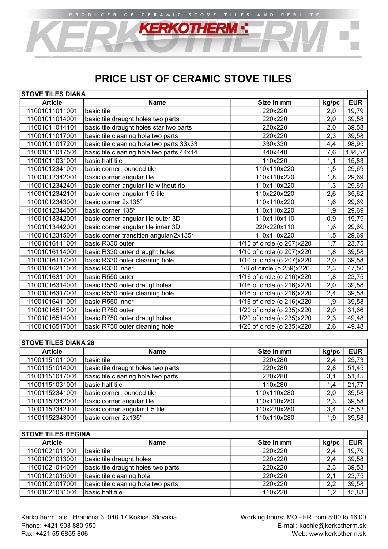# PRICE LIST OF CERAMIC STOVE TILES

**KERKOTHERM :** 

CERAMIC STOVE TILES AND

| <b>STOVE TILES DIANA</b> |                                          |                            |       |            |
|--------------------------|------------------------------------------|----------------------------|-------|------------|
| <b>Article</b>           | <b>Name</b>                              | Size in mm                 | kg/pc | <b>EUR</b> |
| 11001011011001           | basic tile                               | 220x220                    | 2,0   | 19,79      |
| 11001011014001           | basic tile draught holes two parts       | 220x220                    | 2,0   | 39,58      |
| 11001011014101           | basic tile draught holes star two parts  | 220x220                    | 2,0   | 39,58      |
| 11001011017001           | basic tile cleaning hole two parts       | 220x220                    | 2,3   | 39,58      |
| 11001011017201           | basic tile cleaning hole two parts 33x33 | 330x330                    | 4,4   | 98,95      |
| 11001011017501           | basic tile cleaning hole two parts 44x44 | 440x440                    | 7,6   | 134,57     |
| 11001011031001           | basic half tile                          | 110x220                    | 1,1   | 15,83      |
| 11001012341001           | basic corner rounded tile                | 110x110x220                | 1,5   | 29,69      |
| 11001012342001           | basic corner angular tile                | 110x110x220                | 1,8   | 29,69      |
| 11001012342401           | basic corner angular tile without rib    | 110x110x220                | 1,3   | 29,69      |
| 11001012342101           | basic corner angular 1,5 tile            | 110x220x220                | 2,6   | 35,62      |
| 11001012343001           | basic corner 2x135°                      | 110x110x220                | 1,6   | 29,69      |
| 11001012344001           | basic corner 135°                        | 110x110x220                | 1,9   | 29,69      |
| 11001013342001           | basic corner angular tile outer 3D       | 110x110x110                | 0,9   | 19,79      |
| 11001013442001           | basic corner angular tile inner 3D       | 220x220x110                | 1,6   | 29,69      |
| 11001012345001           | basic corner transition angular/2x135°   | 110x110x220                | 1,5   | 29,69      |
| 11001016111001           | basic R330 outer                         | 1/10 of circle (o 207)x220 | 1,7   | 23,75      |
| 11001016114001           | basic R330 outer draught holes           | 1/10 of circle (o 207)x220 | 1,8   | 39,58      |
| 11001016117001           | basic R330 outer cleaning hole           | 1/10 of circle (o 207)x220 | 2,0   | 39,58      |
| 11001016211001           | basic R330 inner                         | 1/8 of circle (o 259)x220  | 2,3   | 47,50      |
| 11001016311001           | basic R550 outer                         | 1/16 of circle (o 216)x220 | 1,8   | 23,75      |
| 11001016314001           | basic R550 outer draugt holes            | 1/16 of circle (o 216)x220 | 2,0   | 39,58      |
| 11001016317001           | basic R550 outer cleaning hole           | 1/16 of circle (o 216)x220 | 2,4   | 39,58      |
| 11001016411001           | basic R550 inner                         | 1/16 of circle (o 216)x220 | 1,9   | 39,58      |
| 11001016511001           | basic R750 outer                         | 1/20 of circle (o 235)x220 | 2,0   | 31,66      |
| 11001016514001           | basic R750 outer draugt holes            | 1/20 of circle (o 235)x220 | 2,3   | 49,48      |
| 11001016517001           | basic R750 outer cleaning hole           | 1/20 of circle (o 235)x220 | 2,6   | 49,48      |

| <b>STOVE TILES DIANA 28</b> |                                    |             |       |            |
|-----------------------------|------------------------------------|-------------|-------|------------|
| <b>Article</b>              | <b>Name</b>                        | Size in mm  | kg/pc | <b>EUR</b> |
| 11001151011001              | Ibasic tile                        | 220x280     | 2,4   | 25,73      |
| 11001151014001              | basic tile draught holes two parts | 220x280     | 2,8   | 51,45      |
| 11001151017001              | basic tile cleaning hole two parts | 220x280     | 3,1   | 51,45      |
| 11001151031001              | İbasic half tile                   | 110x280     | 1,4   | 21,77      |
| 11001152341001              | basic corner rounded tile          | 110x110x280 | 2,0   | 39,58      |
| 11001152342001              | basic corner angular tile          | 110x110x280 | 2,3   | 39,58      |
| 11001152342101              | basic corner angular 1,5 tile      | 110x220x280 | 3,4   | 45,52      |
| 11001152343001              | basic corner 2x135°                | 110x110x280 | 1,9   | 39,58      |

| <b>STOVE TILES REGINA</b> |                                    |            |       |            |  |
|---------------------------|------------------------------------|------------|-------|------------|--|
| <b>Article</b>            | Name                               | Size in mm | kg/pc | <b>EUR</b> |  |
| 11001021011001            | Ibasic tile                        | 220x220    | 2,4   | 19,79      |  |
| 11001021013001            | basic tile draught holes           | 220x220    | 2,4   | 39,58      |  |
| 11001021014001            | basic tile draught holes two parts | 220x220    | 2,3   | 39,58      |  |
| 11001021015001            | basic tile cleaning hole           | 220x220    | 2,1   | 23,75      |  |
| 11001021017001            | basic tile cleaning hole two parts | 220x220    | 2,2   | 39,58      |  |
| 11001021031001            | Ibasic half tile                   | 110x220    |       | 15,83      |  |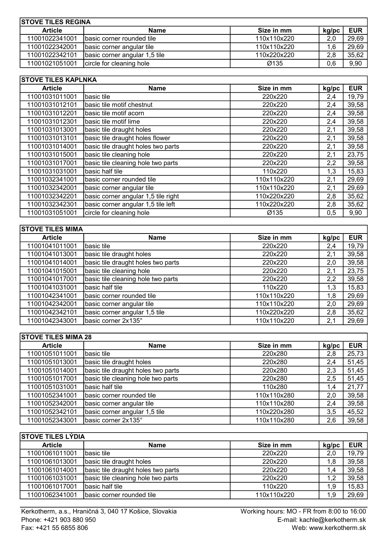| <b>STOVE TILES REGINA</b> |                               |             |       |            |
|---------------------------|-------------------------------|-------------|-------|------------|
| <b>Article</b>            | <b>Name</b>                   | Size in mm  | kg/pc | <b>EUR</b> |
| 11001022341001            | Ibasic corner rounded tile    | 110x110x220 | 2,0   | 29,69      |
| 11001022342001            | basic corner angular tile     | 110x110x220 | .6    | 29,69      |
| 11001022342101            | basic corner angular 1,5 tile | 110x220x220 | 2,8   | 35,62      |
| 11001021051001            | circle for cleaning hole      | Ø135        | 0.6   | 9,90       |

| <b>STOVE TILES KAPLNKA</b> |                                     |             |       |            |
|----------------------------|-------------------------------------|-------------|-------|------------|
| <b>Article</b>             | <b>Name</b>                         | Size in mm  | kg/pc | <b>EUR</b> |
| 11001031011001             | basic tile                          | 220x220     | 2,4   | 19,79      |
| 11001031012101             | basic tile motif chestnut           | 220x220     | 2,4   | 39,58      |
| 11001031012201             | basic tile motif acorn              | 220x220     | 2,4   | 39,58      |
| 11001031012301             | basic tile motif lime               | 220x220     | 2,4   | 39,58      |
| 11001031013001             | basic tile draught holes            | 220x220     | 2,1   | 39,58      |
| 11001031013101             | basic tile draught holes flower     | 220x220     | 2,1   | 39,58      |
| 11001031014001             | basic tile draught holes two parts  | 220x220     | 2,1   | 39,58      |
| 11001031015001             | basic tile cleaning hole            | 220x220     | 2,1   | 23,75      |
| 11001031017001             | basic tile cleaning hole two parts  | 220x220     | 2,2   | 39,58      |
| 11001031031001             | basic half tile                     | 110x220     | 1,3   | 15,83      |
| 11001032341001             | basic corner rounded tile           | 110x110x220 | 2,1   | 29,69      |
| 11001032342001             | basic corner angular tile           | 110x110x220 | 2,1   | 29,69      |
| 11001032342201             | basic corner angular 1,5 tile right | 110x220x220 | 2,8   | 35,62      |
| 11001032342301             | basic corner angular 1,5 tile left  | 110x220x220 | 2,8   | 35,62      |
| 11001031051001             | circle for cleaning hole            | Ø135        | 0,5   | 9,90       |

| <b>STOVE TILES MIMA</b> |                                    |             |       |            |
|-------------------------|------------------------------------|-------------|-------|------------|
| <b>Article</b>          | <b>Name</b>                        | Size in mm  | kg/pc | <b>EUR</b> |
| 11001041011001          | basic tile                         | 220x220     | 2,4   | 19,79      |
| 11001041013001          | basic tile draught holes           | 220x220     | 2,1   | 39,58      |
| 11001041014001          | basic tile draught holes two parts | 220x220     | 2,0   | 39,58      |
| 11001041015001          | basic tile cleaning hole           | 220x220     | 2,1   | 23,75      |
| 11001041017001          | basic tile cleaning hole two parts | 220x220     | 2,2   | 39,58      |
| 11001041031001          | basic half tile                    | 110x220     | 1,3   | 15,83      |
| 11001042341001          | basic corner rounded tile          | 110x110x220 | 1,8   | 29,69      |
| 11001042342001          | basic corner angular tile          | 110x110x220 | 2,0   | 29,69      |
| 11001042342101          | basic corner angular 1,5 tile      | 110x220x220 | 2,8   | 35,62      |
| 11001042343001          | basic corner 2x135°                | 110x110x220 | 2,1   | 29,69      |

| <b>STOVE TILES MIMA 28</b> |                                    |             |       |            |
|----------------------------|------------------------------------|-------------|-------|------------|
| <b>Article</b>             | <b>Name</b>                        | Size in mm  | kg/pc | <b>EUR</b> |
| 11001051011001             | Ibasic tile                        | 220x280     | 2,8   | 25,73      |
| 11001051013001             | basic tile draught holes           | 220x280     | 2,4   | 51,45      |
| 11001051014001             | basic tile draught holes two parts | 220x280     | 2,3   | 51,45      |
| 11001051017001             | basic tile cleaning hole two parts | 220x280     | 2,5   | 51,45      |
| 11001051031001             | Ibasic half tile                   | 110x280     | 1,4   | 21,77      |
| 11001052341001             | basic corner rounded tile          | 110x110x280 | 2,0   | 39,58      |
| 11001052342001             | basic corner angular tile          | 110x110x280 | 2,4   | 39,58      |
| 11001052342101             | basic corner angular 1,5 tile      | 110x220x280 | 3,5   | 45,52      |
| 11001052343001             | basic corner 2x135°                | 110x110x280 | 2,6   | 39,58      |

| <b>STOVE TILES LÝDIA</b> |                                    |             |       |            |
|--------------------------|------------------------------------|-------------|-------|------------|
| <b>Article</b>           | <b>Name</b>                        | Size in mm  | kg/pc | <b>EUR</b> |
| 11001061011001           | Ibasic tile                        | 220x220     | 2,0   | 19,79      |
| 11001061013001           | basic tile draught holes           | 220x220     | 1,8   | 39,58      |
| 11001061014001           | basic tile draught holes two parts | 220x220     | 1.4   | 39,58      |
| 11001061031001           | basic tile cleaning hole two parts | 220x220     |       | 39,58      |
| 11001061017001           | Ibasic half tile                   | 110x220     | 1.9   | 15,83      |
| 11001062341001           | Ibasic corner rounded tile         | 110x110x220 | 1.9   | 29,69      |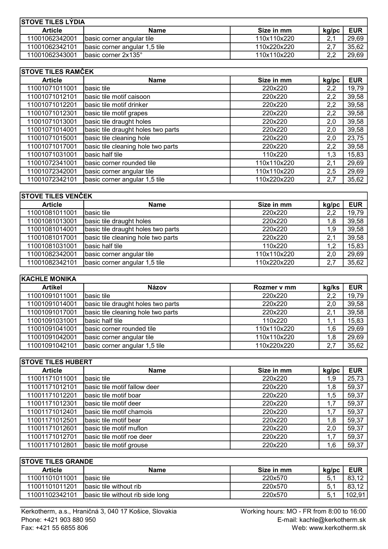| <b>ISTOVE TILES LYDIA</b> |                               |             |        |            |
|---------------------------|-------------------------------|-------------|--------|------------|
| <b>Article</b>            | Name                          | Size in mm  | kg/pc  | <b>EUR</b> |
| 11001062342001            | basic corner angular tile     | 110x110x220 |        | 29,69      |
| 11001062342101            | basic corner angular 1,5 tile | 110x220x220 |        | 35.62      |
| 11001062343001            | <b>Ibasic corner 2x135°</b>   | 110x110x220 | $\cap$ | 29,69      |

### STOVE TILES RAMČEK Article **Name** Name Size in mm kg/pc EUR **Article 11001071011001** basic tile **Name 11001071011001** basic tile<br>
11001071011001 basic tile **220x220** 2,2 19,79<br>
220x220 2,2 39,58 11001071012101 basic tile motif caisoon 220x220 220x220 2,2 39,58 11001071012201 basic tile motif drinker 220x220 20x220 2,2 39,58<br>11001071012301 basic tile motif grapes 220x220 20x220 2,2 39.58 basic tile motif grapes 11001071013001 basic tile draught holes 220x220 20x220 39,58 11001071014001 basic tile draught holes two parts 10001071014001 basic tile draught holes two parts 11001071015001 basic tile cleaning hole 220x220 220x220 23,75 11001071017001 basic tile cleaning hole two parts 220x220 220x220 2,2 39,58 11001071031001 basic half tile 110x220 110x220 1,3 15,83 11001072341001 basic corner rounded tile 110x110x220 2,1 29,69<br>11001072342001 basic corner angular tile 110x110x220 2,5 29,69 basic corner angular tile 110x110x220 2,5 29,69 11001072342101 basic corner angular 1,5 tile 110x220x220 1 2,7 35,62

| <b>STOVE TILES VENČEK</b> |                                    |             |       |            |
|---------------------------|------------------------------------|-------------|-------|------------|
| <b>Article</b>            | <b>Name</b>                        | Size in mm  | kg/pc | <b>EUR</b> |
| 11001081011001            | Ibasic tile                        | 220x220     | 2,2   | 19,79      |
| 11001081013001            | basic tile draught holes           | 220x220     | 1.8   | 39,58      |
| 11001081014001            | basic tile draught holes two parts | 220x220     | 1,9   | 39,58      |
| 11001081017001            | basic tile cleaning hole two parts | 220x220     | 2,1   | 39,58      |
| 11001081031001            | İbasic half tile                   | 110x220     | 1.2   | 15,83      |
| 11001082342001            | basic corner angular tile          | 110x110x220 | 2,0   | 29,69      |
| 11001082342101            | basic corner angular 1,5 tile      | 110x220x220 | 2,7   | 35,62      |

| <b>KACHLE MONIKA</b> |                                    |             |       |            |
|----------------------|------------------------------------|-------------|-------|------------|
| <b>Artikel</b>       | Názov                              | Rozmer v mm | kg/ks | <b>EUR</b> |
| 11001091011001       | Ibasic tile                        | 220x220     | 2,2   | 19,79      |
| 11001091014001       | basic tile draught holes two parts | 220x220     | 2,0   | 39,58      |
| 11001091017001       | basic tile cleaning hole two parts | 220x220     | 2,1   | 39,58      |
| 11001091031001       | Ibasic half tile                   | 110x220     |       | 15,83      |
| 11001091041001       | basic corner rounded tile          | 110x110x220 | 1.6   | 29,69      |
| 11001091042001       | basic corner angular tile          | 110x110x220 | 1,8   | 29,69      |
| 11001091042101       | basic corner angular 1,5 tile      | 110x220x220 | 2,7   | 35,62      |

| <b>STOVE TILES HUBERT</b> |                               |            |       |            |
|---------------------------|-------------------------------|------------|-------|------------|
| <b>Article</b>            | <b>Name</b>                   | Size in mm | kg/pc | <b>EUR</b> |
| 11001171011001            | basic tile                    | 220x220    | 1,9   | 25,73      |
| 11001171012101            | Ibasic tile motif fallow deer | 220x220    | 1,8   | 59,37      |
| 11001171012201            | basic tile motif boar         | 220x220    | 1,5   | 59,37      |
| 11001171012301            | basic tile motif deer         | 220x220    | 1,7   | 59,37      |
| 11001171012401            | basic tile motif chamois      | 220x220    | 1,7   | 59,37      |
| 11001171012501            | basic tile motif bear         | 220x220    | 1,8   | 59,37      |
| 11001171012601            | basic tile motif muflon       | 220x220    | 2,0   | 59,37      |
| 11001171012701            | basic tile motif roe deer     | 220x220    | 1,7   | 59,37      |
| 11001171012801            | basic tile motif grouse       | 220x220    | 1,6   | 59,37      |

| <b>ISTOVE TILES GRANDE</b> |                                  |            |       |            |  |
|----------------------------|----------------------------------|------------|-------|------------|--|
| <b>Article</b>             | <b>Name</b>                      | Size in mm | kg/pc | <b>EUR</b> |  |
| 11001101011001             | Ibasic tile                      | 220x570    | 5.    | 83.12      |  |
| 11001101011201             | Ibasic tile without rib          | 220x570    | 5.    | 83.12      |  |
| 11001102342101             | basic tile without rib side long | 220x570    | 5.    | 102.911    |  |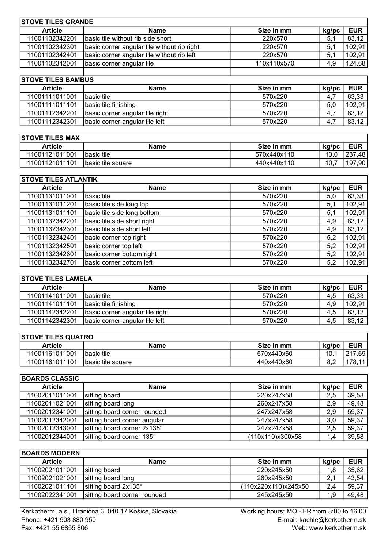| <b>STOVE TILES GRANDE</b> |                                             |             |       |            |
|---------------------------|---------------------------------------------|-------------|-------|------------|
| <b>Article</b>            | <b>Name</b>                                 | Size in mm  | kg/pc | <b>EUR</b> |
| 11001102342201            | basic tile without rib side short           | 220x570     | 5.1   | 83,12      |
| 11001102342301            | basic corner angular tile without rib right | 220x570     | 5.1   | 102.91     |
| 11001102342401            | basic corner angular tile without rib left  | 220x570     | 5.1   | 102,91     |
| 11001102342001            | basic corner angular tile                   | 110x110x570 | 4.9   | 124,68     |
|                           |                                             |             |       |            |

|                | <b>STOVE TILES BAMBUS</b>       |            |       |            |  |  |
|----------------|---------------------------------|------------|-------|------------|--|--|
| <b>Article</b> | <b>Name</b>                     | Size in mm | kg/pc | <b>EUR</b> |  |  |
| 11001111011001 | Ibasic tile                     | 570x220    | 4.1   | 63,33      |  |  |
| 11001111011101 | basic tile finishing            | 570x220    | 5,0   | 102,91     |  |  |
| 11001112342201 | basic corner angular tile right | 570x220    | 4.    | 83,12      |  |  |
| 11001112342301 | basic corner angular tile left  | 570x220    | -4.7  | 83,12      |  |  |

| <b>STOVE TILES MAX</b> |                    |             |       |            |  |
|------------------------|--------------------|-------------|-------|------------|--|
| <b>Article</b>         | <b>Name</b>        | Size in mm  | kg/pc | <b>EUR</b> |  |
| 11001121011001         | Ibasic tile        | 570x440x110 | 13.0  | 237,48     |  |
| 11001121011101         | Ibasic tile square | 440x440x110 | 10.   | 197,901    |  |

| <b>STOVE TILES ATLANTIK</b> |                             |            |       |            |  |
|-----------------------------|-----------------------------|------------|-------|------------|--|
| <b>Article</b>              | <b>Name</b>                 | Size in mm | kg/pc | <b>EUR</b> |  |
| 11001131011001              | basic tile                  | 570x220    | 5,0   | 63,33      |  |
| 11001131011201              | basic tile side long top    | 570x220    | 5,1   | 102,91     |  |
| 11001131011101              | basic tile side long bottom | 570x220    | 5,1   | 102,91     |  |
| 11001132342201              | basic tile side short right | 570x220    | 4,9   | 83,12      |  |
| 11001132342301              | basic tile side short left  | 570x220    | 4,9   | 83,12      |  |
| 11001132342401              | basic corner top right      | 570x220    | 5,2   | 102,91     |  |
| 11001132342501              | basic corner top left       | 570x220    | 5,2   | 102,91     |  |
| 11001132342601              | basic corner bottom right   | 570x220    | 5,2   | 102,91     |  |
| 11001132342701              | basic corner bottom left    | 570x220    | 5,2   | 102,91     |  |

| <b>STOVE TILES LAMELA</b> |                                 |            |       |            |
|---------------------------|---------------------------------|------------|-------|------------|
| <b>Article</b>            | <b>Name</b>                     | Size in mm | kg/pc | <b>EUR</b> |
| 11001141011001            | Ibasic tile                     | 570x220    | 4,5   | 63,33      |
| 11001141011101            | basic tile finishing            | 570x220    | 4,9   | 102,91     |
| 11001142342201            | basic corner angular tile right | 570x220    | 4,5   | 83,12      |
| 11001142342301            | basic corner angular tile left  | 570x220    | 4.5   | 83,12      |

| <b>STOVE TILES QUATRO</b> |                    |            |       |              |  |
|---------------------------|--------------------|------------|-------|--------------|--|
| <b>Article</b>            | <b>Name</b>        | Size in mm | kg/pc | <b>EUR</b>   |  |
| 11001161011001            | Ibasic tile        | 570x440x60 | 10.   | .691<br>. 21 |  |
| 11001161011101            | Ibasic tile square | 440x440x60 |       | 78 11 1      |  |

| <b>BOARDS CLASSIC</b> |                              |                  |       |            |
|-----------------------|------------------------------|------------------|-------|------------|
| <b>Article</b>        | <b>Name</b>                  | Size in mm       | kg/pc | <b>EUR</b> |
| 11002011011001        | sitting board                | 220x247x58       | 2,5   | 39,58      |
| 11002011021001        | sitting board long           | 260x247x58       | 2,9   | 49,48      |
| 11002012341001        | sitting board corner rounded | 247x247x58       | 2,9   | 59,37      |
| 11002012342001        | sitting board corner angular | 247x247x58       | 3,0   | 59,37      |
| 11002012343001        | sitting board corner 2x135°  | 247x247x58       | 2,5   | 59,37      |
| 11002012344001        | sitting board corner 135°    | (110x110)x300x58 | 1.4   | 39,58      |

| <b>BOARDS MODERN</b> |                              |                      |               |            |
|----------------------|------------------------------|----------------------|---------------|------------|
| <b>Article</b>       | <b>Name</b>                  | Size in mm           | kg/pc         | <b>EUR</b> |
| 11002021011001       | sitting board                | 220x245x50           |               | 35,62      |
| 11002021021001       | sitting board long           | 260x245x50           | າ<br><u>.</u> | 43,54      |
| 11002021011101       | sitting board 2x135°         | (110x220x110)x245x50 | 2,4           | 59,37      |
| 11002022341001       | sitting board corner rounded | 245x245x50           | 1.9           | 49,48      |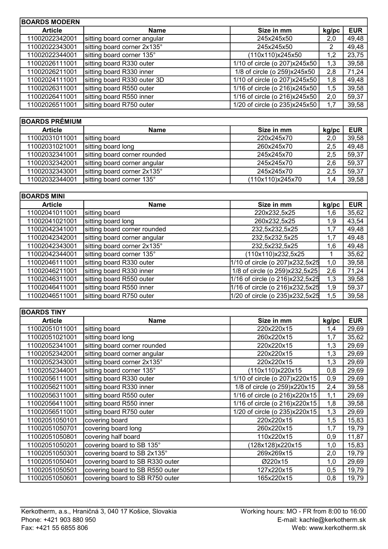| <b>BOARDS MODERN</b> |                              |                               |       |            |
|----------------------|------------------------------|-------------------------------|-------|------------|
| <b>Article</b>       | Name                         | Size in mm                    | kg/pc | <b>EUR</b> |
| 11002022342001       | sitting board corner angular | 245x245x50                    | 2,0   | 49,48      |
| 11002022343001       | sitting board corner 2x135°  | 245x245x50                    | 2     | 49,48      |
| 11002022344001       | sitting board corner 135°    | (110x110)x245x50              | 1,2   | 23,75      |
| 11002026111001       | sitting board R330 outer     | 1/10 of circle (o 207)x245x50 | 1,3   | 39,58      |
| 11002026211001       | sitting board R330 inner     | 1/8 of circle (o 259)x245x50  | 2,8   | 71,24      |
| 11002024111001       | sitting board R330 outer 3D  | 1/10 of circle (o 207)x245x50 | 1.8   | 49,48      |
| 11002026311001       | sitting board R550 outer     | 1/16 of circle (o 216)x245x50 | 1,5   | 39,58      |
| 11002026411001       | sitting board R550 inner     | 1/16 of circle (o 216)x245x50 | 2,0   | 59,37      |
| 11002026511001       | sitting board R750 outer     | 1/20 of circle (o 235)x245x50 | 1.7   | 39,58      |

| <b>BOARDS PRÉMIUM</b> |                              |                  |       |            |
|-----------------------|------------------------------|------------------|-------|------------|
| <b>Article</b>        | <b>Name</b>                  | Size in mm       | kg/pc | <b>EUR</b> |
| 11002031011001        | sitting board                | 220x245x70       | 2,0   | 39,58      |
| 11002031021001        | sitting board long           | 260x245x70       | 2,5   | 49,48      |
| 11002032341001        | sitting board corner rounded | 245x245x70       | 2,5   | 59,37      |
| 11002032342001        | sitting board corner angular | 245x245x70       | 2.6   | 59,37      |
| 11002032343001        | sitting board corner 2x135°  | 245x245x70       | 2,5   | 59,37      |
| 11002032344001        | sitting board corner 135°    | (110x110)x245x70 |       | 39,58      |

| <b>BOARDS MINI</b> |                              |                                 |       |            |
|--------------------|------------------------------|---------------------------------|-------|------------|
| <b>Article</b>     | <b>Name</b>                  | Size in mm                      | kg/pc | <b>EUR</b> |
| 11002041011001     | sitting board                | 220x232,5x25                    | 1,6   | 35,62      |
| 11002041021001     | sitting board long           | 260x232,5x25                    | 1,9   | 43,54      |
| 11002042341001     | sitting board corner rounded | 232,5x232,5x25                  | 1,7   | 49,48      |
| 11002042342001     | sitting board corner angular | 232,5x232,5x25                  | 1,7   | 49,48      |
| 11002042343001     | sitting board corner 2x135°  | 232,5x232,5x25                  | 1,6   | 49,48      |
| 11002042344001     | sitting board corner 135°    | (110x110)x232,5x25              |       | 35,62      |
| 11002046111001     | sitting board R330 outer     | 1/10 of circle (o 207)x232,5x25 | 1,0   | 39,58      |
| 11002046211001     | sitting board R330 inner     | 1/8 of circle (o 259)x232,5x25  | 2,6   | 71,24      |
| 11002046311001     | sitting board R550 outer     | 1/16 of circle (o 216)x232,5x25 | 1,3   | 39,58      |
| 11002046411001     | sitting board R550 inner     | 1/16 of circle (o 216)x232,5x25 | 1,9   | 59,37      |
| 11002046511001     | sitting board R750 outer     | 1/20 of circle (o 235)x232,5x25 | 1,5   | 39,58      |

## **BOARDS TINY**

| <b>BOARDS TINY</b> |                                 |                               |       |            |
|--------------------|---------------------------------|-------------------------------|-------|------------|
| <b>Article</b>     | <b>Name</b>                     | Size in mm                    | kg/pc | <b>EUR</b> |
| 11002051011001     | sitting board                   | 220x220x15                    | 1,4   | 29,69      |
| 11002051021001     | sitting board long              | 260x220x15                    | 1,7   | 35,62      |
| 11002052341001     | sitting board corner rounded    | 220x220x15                    | 1,3   | 29,69      |
| 11002052342001     | sitting board corner angular    | 220x220x15                    | 1,3   | 29,69      |
| 11002052343001     | sitting board corner 2x135°     | 220x220x15                    | 1,3   | 29,69      |
| 11002052344001     | sitting board corner 135°       | (110x110)x220x15              | 0,8   | 29,69      |
| 11002056111001     | sitting board R330 outer        | 1/10 of circle (o 207)x220x15 | 0,9   | 29,69      |
| 11002056211001     | sitting board R330 inner        | 1/8 of circle (o 259)x220x15  | 2,4   | 39,58      |
| 11002056311001     | sitting board R550 outer        | 1/16 of circle (o 216)x220x15 | 1,1   | 29,69      |
| 11002056411001     | sitting board R550 inner        | 1/16 of circle (o 216)x220x15 | 1,8   | 39,58      |
| 11002056511001     | sitting board R750 outer        | 1/20 of circle (o 235)x220x15 | 1,3   | 29,69      |
| 11002051050101     | covering board                  | 220x220x15                    | 1,5   | 15,83      |
| 11002051050701     | covering board long             | 260x220x15                    | 1,7   | 19,79      |
| 11002051050801     | covering half board             | 110x220x15                    | 0,9   | 11,87      |
| 11002051050201     | covering board to SB 135°       | 128x128)x220x15               | 1,0   | 15,83      |
| 11002051050301     | covering board to SB 2x135°     | 269x269x15                    | 2,0   | 19,79      |
| 11002051050401     | covering board to SB R330 outer | Ø220x15                       | 1,0   | 29,69      |
| 11002051050501     | covering board to SB R550 outer | 127x220x15                    | 0,5   | 19,79      |
| 11002051050601     | covering board to SB R750 outer | 165x220x15                    | 0,8   | 19,79      |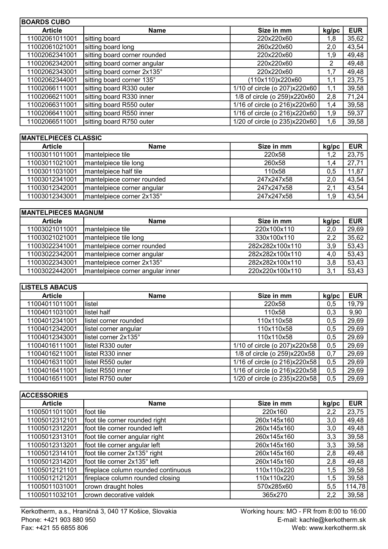| <b>BOARDS CUBO</b> |                              |                               |       |            |
|--------------------|------------------------------|-------------------------------|-------|------------|
| <b>Article</b>     | Name                         | Size in mm                    | kg/pc | <b>EUR</b> |
| 11002061011001     | sitting board                | 220x220x60                    | 1,8   | 35,62      |
| 11002061021001     | sitting board long           | 260x220x60                    | 2,0   | 43,54      |
| 11002062341001     | sitting board corner rounded | 220x220x60                    | 1,9   | 49,48      |
| 11002062342001     | sitting board corner angular | 220x220x60                    | 2     | 49,48      |
| 11002062343001     | sitting board corner 2x135°  | 220x220x60                    | 1,7   | 49,48      |
| 11002062344001     | sitting board corner 135°    | (110x110)x220x60              | 1,1   | 23,75      |
| 11002066111001     | sitting board R330 outer     | 1/10 of circle (o 207)x220x60 | 1,1   | 39,58      |
| 11002066211001     | sitting board R330 inner     | 1/8 of circle (o 259)x220x60  | 2,8   | 71,24      |
| 11002066311001     | sitting board R550 outer     | 1/16 of circle (o 216)x220x60 | 1,4   | 39,58      |
| 11002066411001     | sitting board R550 inner     | 1/16 of circle (o 216)x220x60 | 1,9   | 59,37      |
| 11002066511001     | sitting board R750 outer     | 1/20 of circle (o 235)x220x60 | 1,6   | 39,58      |

## MANTELPIECES CLASSIC

| <b>Article</b> | <b>Name</b>                 | Size in mm | kg/pc | <b>EUR</b> |
|----------------|-----------------------------|------------|-------|------------|
| 11003011011001 | Imantelpiece tile           | 220x58     |       | 23,75      |
| 11003011021001 | mantelpiece tile long       | 260x58     |       | 27,71      |
| 11003011031001 | Imantelpiece half tile      | 110x58     | 0.5   | 11,87      |
| 11003012341001 | Imantelpiece corner rounded | 247x247x58 | 2.0   | 43,54      |
| 11003012342001 | mantelpiece corner angular  | 247x247x58 | 2.    | 43,54      |
| 11003012343001 | mantelpiece corner 2x135°   | 247x247x58 | 1.9   | 43,54      |

| <b>IMANTELPIECES MAGNUM</b> |                                  |                 |       |            |
|-----------------------------|----------------------------------|-----------------|-------|------------|
| <b>Article</b>              | <b>Name</b>                      | Size in mm      | kg/pc | <b>EUR</b> |
| 11003021011001              | Imantelpiece tile                | 220x100x110     | 2,0   | 29,69      |
| 11003021021001              | mantelpiece tile long            | 330x100x110     | 2.2   | 35,62      |
| 11003022341001              | Imantelpiece corner rounded      | 282x282x100x110 | 3.9   | 53,43      |
| 11003022342001              | mantelpiece corner angular       | 282x282x100x110 | 4,0   | 53,43      |
| 11003022343001              | mantelpiece corner 2x135°        | 282x282x100x110 | 3.8   | 53,43      |
| 11003022442001              | mantelpiece corner angular inner | 220x220x100x110 | 3,1   | 53,43      |

| <b>LISTELS ABACUS</b> |                        |                               |       |            |
|-----------------------|------------------------|-------------------------------|-------|------------|
| <b>Article</b>        | <b>Name</b>            | Size in mm                    | kg/pc | <b>EUR</b> |
| 11004011011001        | listel                 | 220x58                        | 0,5   | 19,79      |
| 11004011031001        | listel half            | 110x58                        | 0,3   | 9,90       |
| 11004012341001        | llistel corner rounded | 110x110x58                    | 0,5   | 29,69      |
| 11004012342001        | listel corner angular  | 110x110x58                    | 0,5   | 29,69      |
| 11004012343001        | listel corner 2x135°   | 110x110x58                    | 0,5   | 29,69      |
| 11004016111001        | listel R330 outer      | 1/10 of circle (o 207)x220x58 | 0,5   | 29,69      |
| 11004016211001        | listel R330 inner      | 1/8 of circle (o 259)x220x58  | 0,7   | 29,69      |
| 11004016311001        | listel R550 outer      | 1/16 of circle (o 216)x220x58 | 0,5   | 29,69      |
| 11004016411001        | listel R550 inner      | 1/16 of circle (o 216)x220x58 | 0,5   | 29,69      |
| 11004016511001        | listel R750 outer      | 1/20 of circle (o 235)x220x58 | 0,5   | 29,69      |

| <b>ACCESSORIES</b> |                                     |             |       |            |
|--------------------|-------------------------------------|-------------|-------|------------|
| <b>Article</b>     | <b>Name</b>                         | Size in mm  | kg/pc | <b>EUR</b> |
| 11005011011001     | Ifoot tile                          | 220x160     | 2,2   | 23,75      |
| 11005012312101     | foot tile corner rounded right      | 260x145x160 | 3,0   | 49,48      |
| 11005012312201     | foot tile corner rounded left       | 260x145x160 | 3,0   | 49,48      |
| 11005012313101     | foot tile corner angular right      | 260x145x160 | 3,3   | 39,58      |
| 11005012313201     | foot tile corner angular left       | 260x145x160 | 3,3   | 39,58      |
| 11005012314101     | foot tile corner 2x135° right       | 260x145x160 | 2,8   | 49,48      |
| 11005012314201     | ∣foot tile corner 2x135° left       | 260x145x160 | 2,8   | 49,48      |
| 11005012121101     | fireplace column rounded continuous | 110x110x220 | 1,5   | 39,58      |
| 11005012121201     | fireplace column rounded closing    | 110x110x220 | 1,5   | 39,58      |
| 11005011031001     | crown draught holes                 | 570x285x60  | 5,5   | 114,78     |
| 11005011032101     | crown decorative valdek             | 365x270     | 2,2   | 39,58      |

٦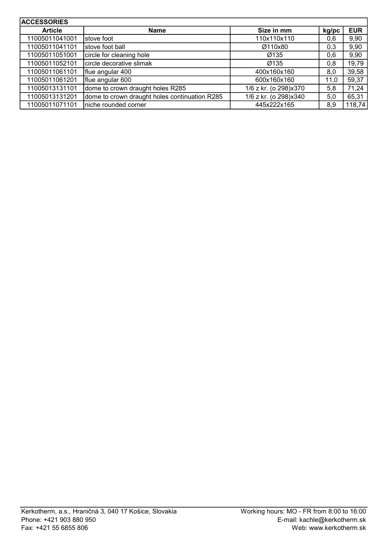| <b>ACCESSORIES</b> |                                               |                       |       |            |
|--------------------|-----------------------------------------------|-----------------------|-------|------------|
| <b>Article</b>     | <b>Name</b>                                   | Size in mm            | kg/pc | <b>EUR</b> |
| 11005011041001     | stove foot                                    | 110x110x110           | 0,6   | 9,90       |
| 11005011041101     | stove foot ball                               | Ø110x80               | 0,3   | 9,90       |
| 11005011051001     | circle for cleaning hole                      | Ø135                  | 0,6   | 9,90       |
| 11005011052101     | circle decorative slimak                      | Ø135                  | 0,8   | 19,79      |
| 11005011061101     | flue angular 400                              | 400x160x160           | 8,0   | 39,58      |
| 11005011061201     | flue angular 600                              | 600x160x160           | 11.0  | 59,37      |
| 11005013131101     | dome to crown draught holes R285              | 1/6 z kr. (o 298)x370 | 5,8   | 71,24      |
| 11005013131201     | dome to crown draught holes continuation R285 | 1/6 z kr. (o 298)x340 | 5,0   | 65,31      |
| 11005011071101     | Iniche rounded corner                         | 445x222x165           | 8,9   | 118,74     |